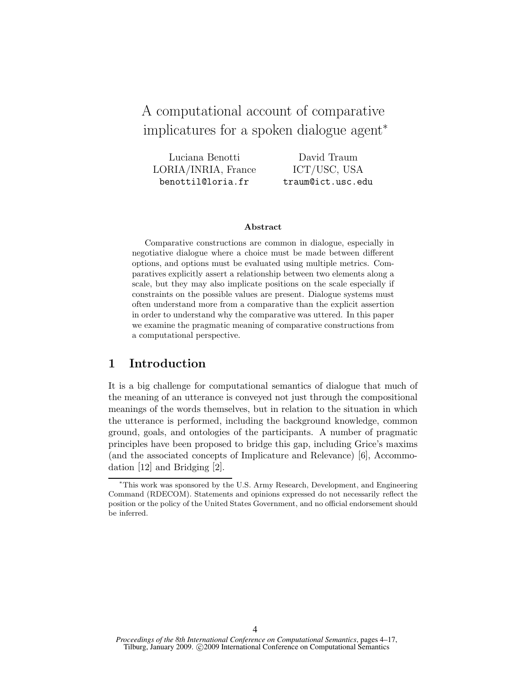# A computational account of comparative implicatures for a spoken dialogue agent<sup>∗</sup>

Luciana Benotti LORIA/INRIA, France benottil@loria.fr David Traum ICT/USC, USA traum@ict.usc.edu

#### Abstract

Comparative constructions are common in dialogue, especially in negotiative dialogue where a choice must be made between different options, and options must be evaluated using multiple metrics. Comparatives explicitly assert a relationship between two elements along a scale, but they may also implicate positions on the scale especially if constraints on the possible values are present. Dialogue systems must often understand more from a comparative than the explicit assertion in order to understand why the comparative was uttered. In this paper we examine the pragmatic meaning of comparative constructions from a computational perspective.

### 1 Introduction

It is a big challenge for computational semantics of dialogue that much of the meaning of an utterance is conveyed not just through the compositional meanings of the words themselves, but in relation to the situation in which the utterance is performed, including the background knowledge, common ground, goals, and ontologies of the participants. A number of pragmatic principles have been proposed to bridge this gap, including Grice's maxims (and the associated concepts of Implicature and Relevance) [6], Accommodation [12] and Bridging [2].

<sup>∗</sup>This work was sponsored by the U.S. Army Research, Development, and Engineering Command (RDECOM). Statements and opinions expressed do not necessarily reflect the position or the policy of the United States Government, and no official endorsement should be inferred.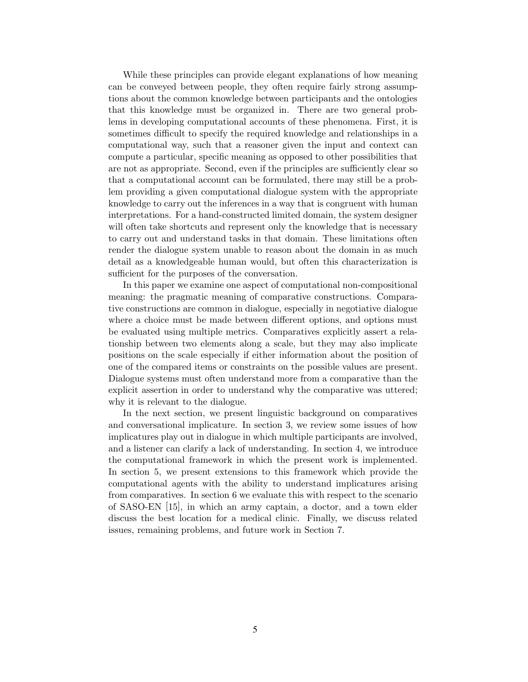While these principles can provide elegant explanations of how meaning can be conveyed between people, they often require fairly strong assumptions about the common knowledge between participants and the ontologies that this knowledge must be organized in. There are two general problems in developing computational accounts of these phenomena. First, it is sometimes difficult to specify the required knowledge and relationships in a computational way, such that a reasoner given the input and context can compute a particular, specific meaning as opposed to other possibilities that are not as appropriate. Second, even if the principles are sufficiently clear so that a computational account can be formulated, there may still be a problem providing a given computational dialogue system with the appropriate knowledge to carry out the inferences in a way that is congruent with human interpretations. For a hand-constructed limited domain, the system designer will often take shortcuts and represent only the knowledge that is necessary to carry out and understand tasks in that domain. These limitations often render the dialogue system unable to reason about the domain in as much detail as a knowledgeable human would, but often this characterization is sufficient for the purposes of the conversation.

In this paper we examine one aspect of computational non-compositional meaning: the pragmatic meaning of comparative constructions. Comparative constructions are common in dialogue, especially in negotiative dialogue where a choice must be made between different options, and options must be evaluated using multiple metrics. Comparatives explicitly assert a relationship between two elements along a scale, but they may also implicate positions on the scale especially if either information about the position of one of the compared items or constraints on the possible values are present. Dialogue systems must often understand more from a comparative than the explicit assertion in order to understand why the comparative was uttered; why it is relevant to the dialogue.

In the next section, we present linguistic background on comparatives and conversational implicature. In section 3, we review some issues of how implicatures play out in dialogue in which multiple participants are involved, and a listener can clarify a lack of understanding. In section 4, we introduce the computational framework in which the present work is implemented. In section 5, we present extensions to this framework which provide the computational agents with the ability to understand implicatures arising from comparatives. In section 6 we evaluate this with respect to the scenario of SASO-EN [15], in which an army captain, a doctor, and a town elder discuss the best location for a medical clinic. Finally, we discuss related issues, remaining problems, and future work in Section 7.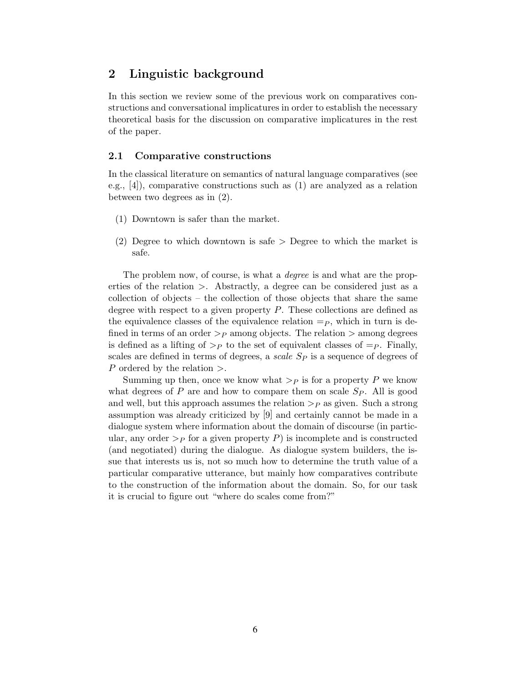### 2 Linguistic background

In this section we review some of the previous work on comparatives constructions and conversational implicatures in order to establish the necessary theoretical basis for the discussion on comparative implicatures in the rest of the paper.

#### 2.1 Comparative constructions

In the classical literature on semantics of natural language comparatives (see e.g.,  $[4]$ , comparative constructions such as (1) are analyzed as a relation between two degrees as in (2).

- (1) Downtown is safer than the market.
- (2) Degree to which downtown is safe > Degree to which the market is safe.

The problem now, of course, is what a *degree* is and what are the properties of the relation >. Abstractly, a degree can be considered just as a collection of objects – the collection of those objects that share the same degree with respect to a given property  $P$ . These collections are defined as the equivalence classes of the equivalence relation  $=p$ , which in turn is defined in terms of an order  $\geq_P$  among objects. The relation  $\geq$  among degrees is defined as a lifting of  $\geq_P$  to the set of equivalent classes of  $=p$ . Finally, scales are defined in terms of degrees, a scale  $S_P$  is a sequence of degrees of P ordered by the relation  $\geq$ .

Summing up then, once we know what  $\geq_P$  is for a property P we know what degrees of P are and how to compare them on scale  $Sp$ . All is good and well, but this approach assumes the relation  $\geq_P$  as given. Such a strong assumption was already criticized by [9] and certainly cannot be made in a dialogue system where information about the domain of discourse (in particular, any order  $\geq_P$  for a given property P) is incomplete and is constructed (and negotiated) during the dialogue. As dialogue system builders, the issue that interests us is, not so much how to determine the truth value of a particular comparative utterance, but mainly how comparatives contribute to the construction of the information about the domain. So, for our task it is crucial to figure out "where do scales come from?"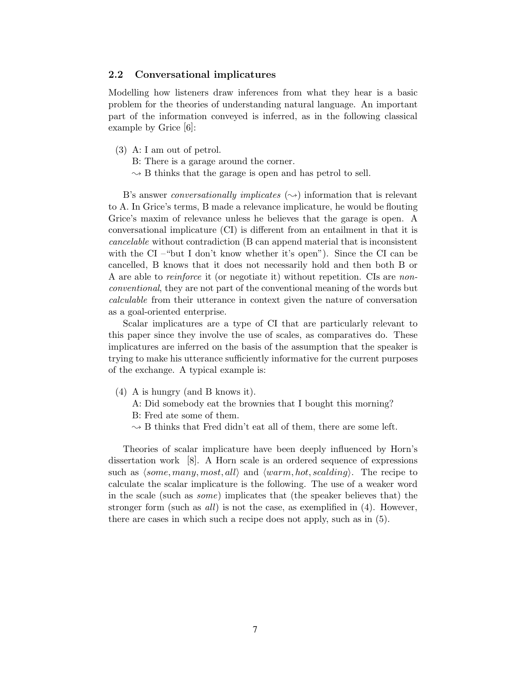#### 2.2 Conversational implicatures

Modelling how listeners draw inferences from what they hear is a basic problem for the theories of understanding natural language. An important part of the information conveyed is inferred, as in the following classical example by Grice [6]:

- (3) A: I am out of petrol.
	- B: There is a garage around the corner.
	- $\sim$  B thinks that the garage is open and has petrol to sell.

B's answer *conversationally implicates*  $(\rightarrow)$  information that is relevant to A. In Grice's terms, B made a relevance implicature, he would be flouting Grice's maxim of relevance unless he believes that the garage is open. A conversational implicature (CI) is different from an entailment in that it is cancelable without contradiction (B can append material that is inconsistent with the CI –"but I don't know whether it's open"). Since the CI can be cancelled, B knows that it does not necessarily hold and then both B or A are able to *reinforce* it (or negotiate it) without repetition. CIs are *non*conventional, they are not part of the conventional meaning of the words but calculable from their utterance in context given the nature of conversation as a goal-oriented enterprise.

Scalar implicatures are a type of CI that are particularly relevant to this paper since they involve the use of scales, as comparatives do. These implicatures are inferred on the basis of the assumption that the speaker is trying to make his utterance sufficiently informative for the current purposes of the exchange. A typical example is:

- (4) A is hungry (and B knows it).
	- A: Did somebody eat the brownies that I bought this morning?
	- B: Fred ate some of them.
	- $\sim$  B thinks that Fred didn't eat all of them, there are some left.

Theories of scalar implicature have been deeply influenced by Horn's dissertation work [8]. A Horn scale is an ordered sequence of expressions such as  $\langle some, many, most, all \rangle$  and  $\langle warm, hot, scaling\rangle$ . The recipe to calculate the scalar implicature is the following. The use of a weaker word in the scale (such as some) implicates that (the speaker believes that) the stronger form (such as all) is not the case, as exemplified in (4). However, there are cases in which such a recipe does not apply, such as in (5).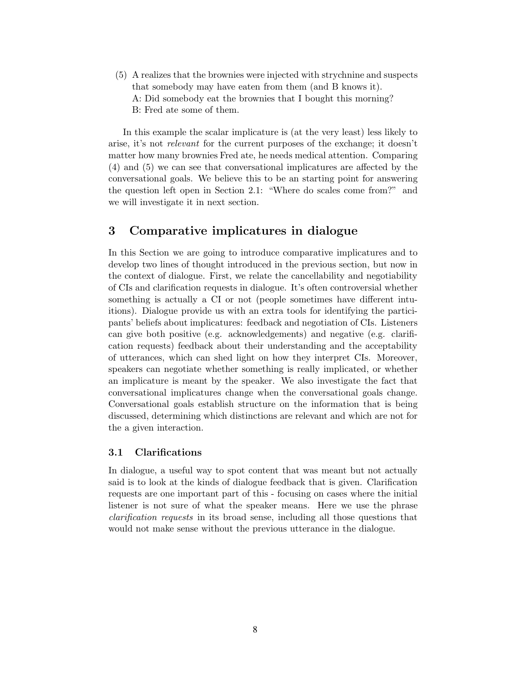(5) A realizes that the brownies were injected with strychnine and suspects that somebody may have eaten from them (and B knows it). A: Did somebody eat the brownies that I bought this morning? B: Fred ate some of them.

In this example the scalar implicature is (at the very least) less likely to arise, it's not relevant for the current purposes of the exchange; it doesn't matter how many brownies Fred ate, he needs medical attention. Comparing (4) and (5) we can see that conversational implicatures are affected by the conversational goals. We believe this to be an starting point for answering the question left open in Section 2.1: "Where do scales come from?" and we will investigate it in next section.

### 3 Comparative implicatures in dialogue

In this Section we are going to introduce comparative implicatures and to develop two lines of thought introduced in the previous section, but now in the context of dialogue. First, we relate the cancellability and negotiability of CIs and clarification requests in dialogue. It's often controversial whether something is actually a CI or not (people sometimes have different intuitions). Dialogue provide us with an extra tools for identifying the participants' beliefs about implicatures: feedback and negotiation of CIs. Listeners can give both positive (e.g. acknowledgements) and negative (e.g. clarification requests) feedback about their understanding and the acceptability of utterances, which can shed light on how they interpret CIs. Moreover, speakers can negotiate whether something is really implicated, or whether an implicature is meant by the speaker. We also investigate the fact that conversational implicatures change when the conversational goals change. Conversational goals establish structure on the information that is being discussed, determining which distinctions are relevant and which are not for the a given interaction.

#### 3.1 Clarifications

In dialogue, a useful way to spot content that was meant but not actually said is to look at the kinds of dialogue feedback that is given. Clarification requests are one important part of this - focusing on cases where the initial listener is not sure of what the speaker means. Here we use the phrase clarification requests in its broad sense, including all those questions that would not make sense without the previous utterance in the dialogue.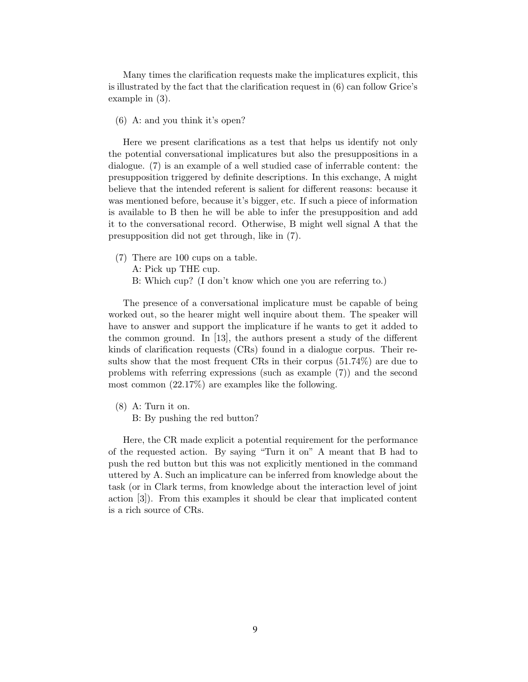Many times the clarification requests make the implicatures explicit, this is illustrated by the fact that the clarification request in (6) can follow Grice's example in (3).

(6) A: and you think it's open?

Here we present clarifications as a test that helps us identify not only the potential conversational implicatures but also the presuppositions in a dialogue. (7) is an example of a well studied case of inferrable content: the presupposition triggered by definite descriptions. In this exchange, A might believe that the intended referent is salient for different reasons: because it was mentioned before, because it's bigger, etc. If such a piece of information is available to B then he will be able to infer the presupposition and add it to the conversational record. Otherwise, B might well signal A that the presupposition did not get through, like in (7).

- (7) There are 100 cups on a table. A: Pick up THE cup.
	- B: Which cup? (I don't know which one you are referring to.)

The presence of a conversational implicature must be capable of being worked out, so the hearer might well inquire about them. The speaker will have to answer and support the implicature if he wants to get it added to the common ground. In [13], the authors present a study of the different kinds of clarification requests (CRs) found in a dialogue corpus. Their results show that the most frequent CRs in their corpus (51.74%) are due to problems with referring expressions (such as example (7)) and the second most common (22.17%) are examples like the following.

- (8) A: Turn it on.
	- B: By pushing the red button?

Here, the CR made explicit a potential requirement for the performance of the requested action. By saying "Turn it on" A meant that B had to push the red button but this was not explicitly mentioned in the command uttered by A. Such an implicature can be inferred from knowledge about the task (or in Clark terms, from knowledge about the interaction level of joint action [3]). From this examples it should be clear that implicated content is a rich source of CRs.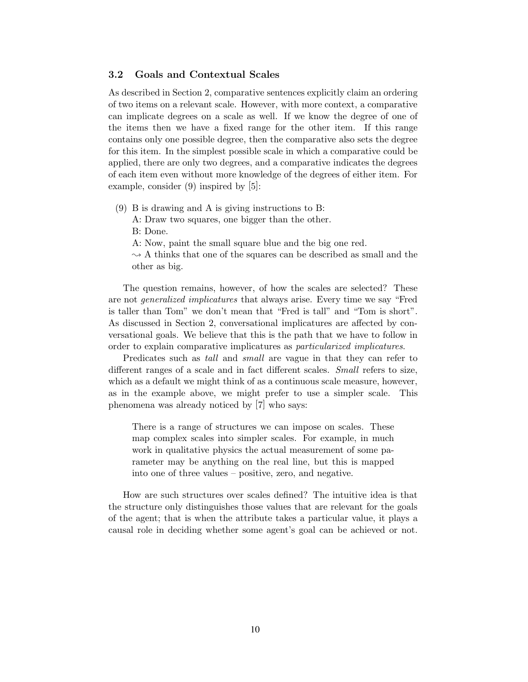#### 3.2 Goals and Contextual Scales

As described in Section 2, comparative sentences explicitly claim an ordering of two items on a relevant scale. However, with more context, a comparative can implicate degrees on a scale as well. If we know the degree of one of the items then we have a fixed range for the other item. If this range contains only one possible degree, then the comparative also sets the degree for this item. In the simplest possible scale in which a comparative could be applied, there are only two degrees, and a comparative indicates the degrees of each item even without more knowledge of the degrees of either item. For example, consider (9) inspired by [5]:

- (9) B is drawing and A is giving instructions to B:
	- A: Draw two squares, one bigger than the other.

B: Done.

A: Now, paint the small square blue and the big one red.

 $\sim$  A thinks that one of the squares can be described as small and the other as big.

The question remains, however, of how the scales are selected? These are not generalized implicatures that always arise. Every time we say "Fred is taller than Tom" we don't mean that "Fred is tall" and "Tom is short". As discussed in Section 2, conversational implicatures are affected by conversational goals. We believe that this is the path that we have to follow in order to explain comparative implicatures as particularized implicatures.

Predicates such as *tall* and *small* are vague in that they can refer to different ranges of a scale and in fact different scales. Small refers to size, which as a default we might think of as a continuous scale measure, however, as in the example above, we might prefer to use a simpler scale. This phenomena was already noticed by [7] who says:

There is a range of structures we can impose on scales. These map complex scales into simpler scales. For example, in much work in qualitative physics the actual measurement of some parameter may be anything on the real line, but this is mapped into one of three values – positive, zero, and negative.

How are such structures over scales defined? The intuitive idea is that the structure only distinguishes those values that are relevant for the goals of the agent; that is when the attribute takes a particular value, it plays a causal role in deciding whether some agent's goal can be achieved or not.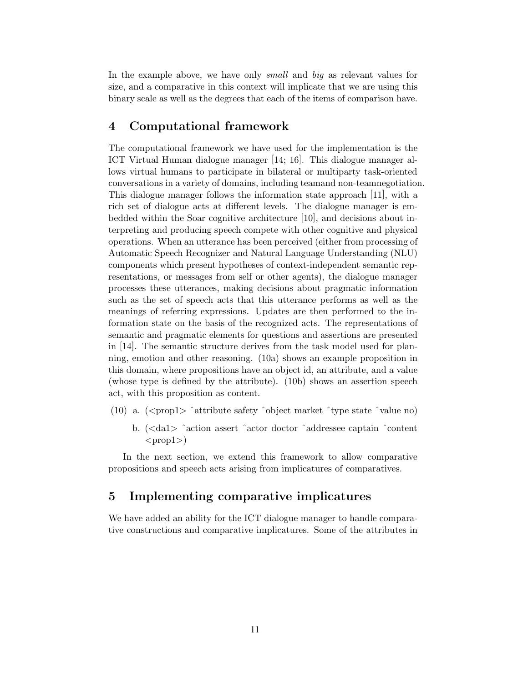In the example above, we have only *small* and big as relevant values for size, and a comparative in this context will implicate that we are using this binary scale as well as the degrees that each of the items of comparison have.

### 4 Computational framework

The computational framework we have used for the implementation is the ICT Virtual Human dialogue manager [14; 16]. This dialogue manager allows virtual humans to participate in bilateral or multiparty task-oriented conversations in a variety of domains, including teamand non-teamnegotiation. This dialogue manager follows the information state approach [11], with a rich set of dialogue acts at different levels. The dialogue manager is embedded within the Soar cognitive architecture [10], and decisions about interpreting and producing speech compete with other cognitive and physical operations. When an utterance has been perceived (either from processing of Automatic Speech Recognizer and Natural Language Understanding (NLU) components which present hypotheses of context-independent semantic representations, or messages from self or other agents), the dialogue manager processes these utterances, making decisions about pragmatic information such as the set of speech acts that this utterance performs as well as the meanings of referring expressions. Updates are then performed to the information state on the basis of the recognized acts. The representations of semantic and pragmatic elements for questions and assertions are presented in [14]. The semantic structure derives from the task model used for planning, emotion and other reasoning. (10a) shows an example proposition in this domain, where propositions have an object id, an attribute, and a value (whose type is defined by the attribute). (10b) shows an assertion speech act, with this proposition as content.

- (10) a.  $\langle \text{propl}\rangle$   $\hat{\ }$  attribute safety  $\hat{\ }$  object market  $\hat{\ }$  type state  $\hat{\ }$  value no)
	- b. (<da1> ˆaction assert ˆactor doctor ˆaddressee captain ˆcontent  $<$ prop1>)

In the next section, we extend this framework to allow comparative propositions and speech acts arising from implicatures of comparatives.

### 5 Implementing comparative implicatures

We have added an ability for the ICT dialogue manager to handle comparative constructions and comparative implicatures. Some of the attributes in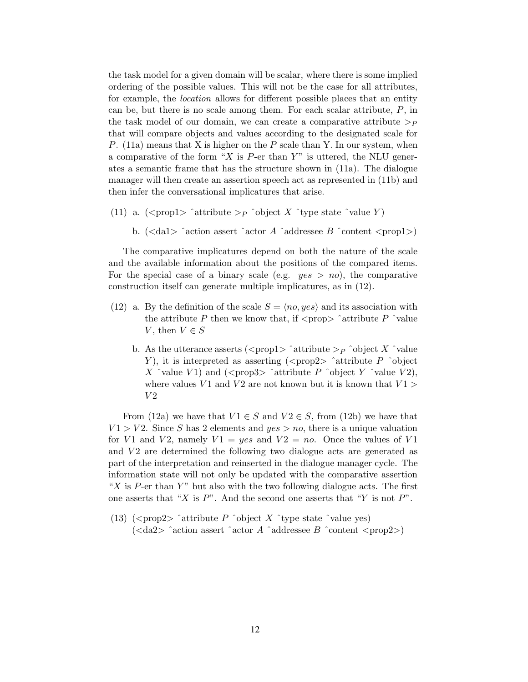the task model for a given domain will be scalar, where there is some implied ordering of the possible values. This will not be the case for all attributes, for example, the location allows for different possible places that an entity can be, but there is no scale among them. For each scalar attribute, P, in the task model of our domain, we can create a comparative attribute  $\gt_p$ that will compare objects and values according to the designated scale for P.  $(11a)$  means that X is higher on the P scale than Y. In our system, when a comparative of the form "X is  $P$ -er than Y" is uttered, the NLU generates a semantic frame that has the structure shown in (11a). The dialogue manager will then create an assertion speech act as represented in (11b) and then infer the conversational implicatures that arise.

- (11) a.  $\langle \text{propl}\rangle$   $\hat{\ }$  attribute  $\geq_P \hat{\ }$  object X  $\hat{\ }$  type state  $\hat{\ }$  value Y)
	- b.  $\langle \langle \text{dal}\rangle \rangle$  ^action assert ^actor A ^addressee B ^content  $\langle \text{prop1}\rangle$

The comparative implicatures depend on both the nature of the scale and the available information about the positions of the compared items. For the special case of a binary scale (e.g.  $yes > no$ ), the comparative construction itself can generate multiple implicatures, as in (12).

- (12) a. By the definition of the scale  $S = \langle no, yes \rangle$  and its association with the attribute P then we know that, if  $\langle$ prop $\rangle$   $\hat{ }$  attribute P  $\hat{ }$   $\hat{ }$  value V, then  $V \in S$ 
	- b. As the utterance asserts (<prop1>  $\hat{a}$  attribute >  $\hat{p}$   $\hat{b}$  object X  $\hat{c}$  value Y), it is interpreted as asserting  $\langle$  >  $\rangle$   $\sim$   $\gamma$   $\sim$   $\gamma$   $\sim$   $\gamma$  $\sim$   $\gamma$   $\sim$   $\gamma$ X  $\hat{ }$  value V1) and ( $\langle$ prop3 $\rangle$   $\hat{ }$  attribute P  $\hat{ }$  object Y  $\hat{ }$  value V2), where values  $V1$  and  $V2$  are not known but it is known that  $V1 >$  $V2$

From (12a) we have that  $V1 \in S$  and  $V2 \in S$ , from (12b) we have that  $V1 > V2$ . Since S has 2 elements and  $yes > no$ , there is a unique valuation for V1 and V2, namely  $V1 = yes$  and  $V2 = no$ . Once the values of V1 and  $V_2$  are determined the following two dialogue acts are generated as part of the interpretation and reinserted in the dialogue manager cycle. The information state will not only be updated with the comparative assertion "X is P-er than Y" but also with the two following dialogue acts. The first one asserts that "X is  $P$ ". And the second one asserts that "Y is not  $P$ ".

(13) ( $\langle \text{prop2} \rangle$   $\hat{\ }$  attribute P  $\hat{\ }$  object X  $\hat{\ }$  type state  $\hat{\ }$  value yes)  $\langle \langle \text{da2}\rangle \rangle$  ^action assert ^actor A ^addressee B ^content  $\langle \text{prop2}\rangle$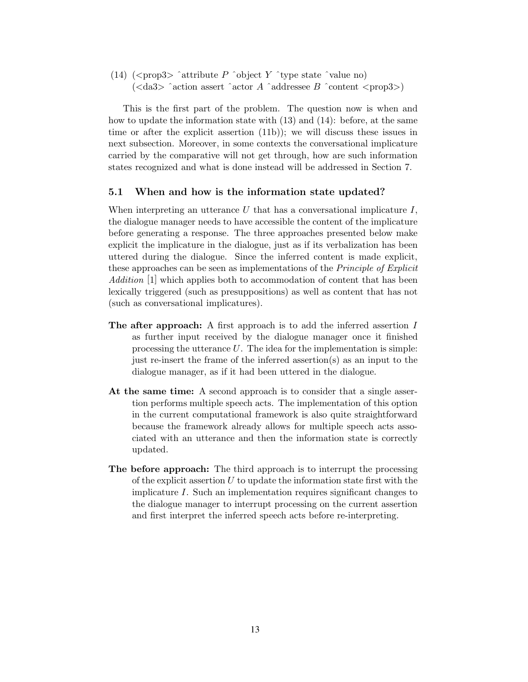(14)  $(\text{prop3}> \text{^*attribute } P \text{^*object } Y \text{^*type state } \text{^*value no})$  $\langle \langle \text{da}3 \rangle$  ^action assert ^actor A ^addressee B ^content  $\langle \text{prop3}\rangle$ 

This is the first part of the problem. The question now is when and how to update the information state with (13) and (14): before, at the same time or after the explicit assertion (11b)); we will discuss these issues in next subsection. Moreover, in some contexts the conversational implicature carried by the comparative will not get through, how are such information states recognized and what is done instead will be addressed in Section 7.

#### 5.1 When and how is the information state updated?

When interpreting an utterance U that has a conversational implicature  $I$ , the dialogue manager needs to have accessible the content of the implicature before generating a response. The three approaches presented below make explicit the implicature in the dialogue, just as if its verbalization has been uttered during the dialogue. Since the inferred content is made explicit, these approaches can be seen as implementations of the *Principle of Explicit* Addition [1] which applies both to accommodation of content that has been lexically triggered (such as presuppositions) as well as content that has not (such as conversational implicatures).

- The after approach: A first approach is to add the inferred assertion I as further input received by the dialogue manager once it finished processing the utterance  $U$ . The idea for the implementation is simple: just re-insert the frame of the inferred assertion(s) as an input to the dialogue manager, as if it had been uttered in the dialogue.
- At the same time: A second approach is to consider that a single assertion performs multiple speech acts. The implementation of this option in the current computational framework is also quite straightforward because the framework already allows for multiple speech acts associated with an utterance and then the information state is correctly updated.
- The before approach: The third approach is to interrupt the processing of the explicit assertion  $U$  to update the information state first with the implicature I. Such an implementation requires significant changes to the dialogue manager to interrupt processing on the current assertion and first interpret the inferred speech acts before re-interpreting.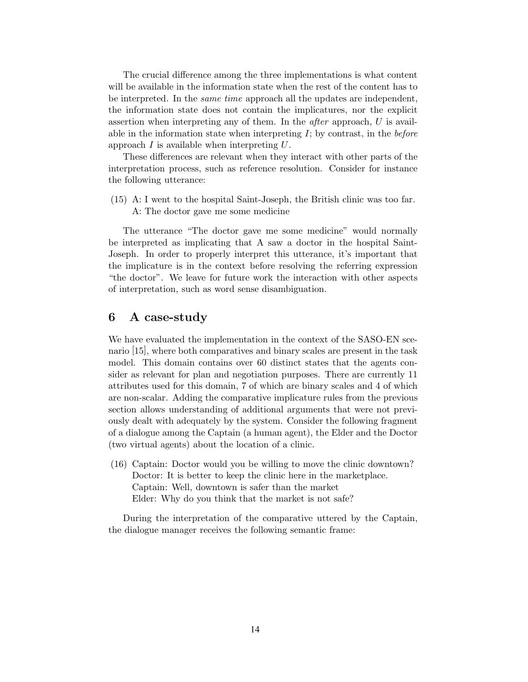The crucial difference among the three implementations is what content will be available in the information state when the rest of the content has to be interpreted. In the same time approach all the updates are independent, the information state does not contain the implicatures, nor the explicit assertion when interpreting any of them. In the *after* approach,  $U$  is available in the information state when interpreting  $I$ ; by contrast, in the *before* approach  $I$  is available when interpreting  $U$ .

These differences are relevant when they interact with other parts of the interpretation process, such as reference resolution. Consider for instance the following utterance:

(15) A: I went to the hospital Saint-Joseph, the British clinic was too far. A: The doctor gave me some medicine

The utterance "The doctor gave me some medicine" would normally be interpreted as implicating that A saw a doctor in the hospital Saint-Joseph. In order to properly interpret this utterance, it's important that the implicature is in the context before resolving the referring expression "the doctor". We leave for future work the interaction with other aspects of interpretation, such as word sense disambiguation.

### 6 A case-study

We have evaluated the implementation in the context of the SASO-EN scenario [15], where both comparatives and binary scales are present in the task model. This domain contains over 60 distinct states that the agents consider as relevant for plan and negotiation purposes. There are currently 11 attributes used for this domain, 7 of which are binary scales and 4 of which are non-scalar. Adding the comparative implicature rules from the previous section allows understanding of additional arguments that were not previously dealt with adequately by the system. Consider the following fragment of a dialogue among the Captain (a human agent), the Elder and the Doctor (two virtual agents) about the location of a clinic.

(16) Captain: Doctor would you be willing to move the clinic downtown? Doctor: It is better to keep the clinic here in the marketplace. Captain: Well, downtown is safer than the market Elder: Why do you think that the market is not safe?

During the interpretation of the comparative uttered by the Captain, the dialogue manager receives the following semantic frame: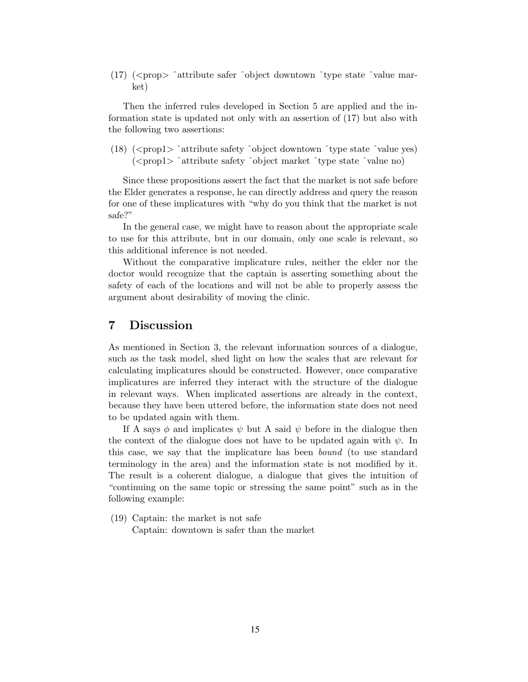(17)  $(*prop*)$   $\hat{ } attribute safer  $\hat{ }$  object downtown  $\hat{ }$  type state  $\hat{ }$  value mar$ ket)

Then the inferred rules developed in Section 5 are applied and the information state is updated not only with an assertion of (17) but also with the following two assertions:

(18)  $\langle \text{prop1} \rangle$   $\hat{\text{attribute}}$  safety  $\hat{\text{object}}$  downtown  $\hat{\text{type}}$  state  $\hat{\text{value}}$  yes) (<prop1> ˆattribute safety ˆobject market ˆtype state ˆvalue no)

Since these propositions assert the fact that the market is not safe before the Elder generates a response, he can directly address and query the reason for one of these implicatures with "why do you think that the market is not safe?"

In the general case, we might have to reason about the appropriate scale to use for this attribute, but in our domain, only one scale is relevant, so this additional inference is not needed.

Without the comparative implicature rules, neither the elder nor the doctor would recognize that the captain is asserting something about the safety of each of the locations and will not be able to properly assess the argument about desirability of moving the clinic.

### 7 Discussion

As mentioned in Section 3, the relevant information sources of a dialogue, such as the task model, shed light on how the scales that are relevant for calculating implicatures should be constructed. However, once comparative implicatures are inferred they interact with the structure of the dialogue in relevant ways. When implicated assertions are already in the context, because they have been uttered before, the information state does not need to be updated again with them.

If A says  $\phi$  and implicates  $\psi$  but A said  $\psi$  before in the dialogue then the context of the dialogue does not have to be updated again with  $\psi$ . In this case, we say that the implicature has been bound (to use standard terminology in the area) and the information state is not modified by it. The result is a coherent dialogue, a dialogue that gives the intuition of "continuing on the same topic or stressing the same point" such as in the following example:

(19) Captain: the market is not safe Captain: downtown is safer than the market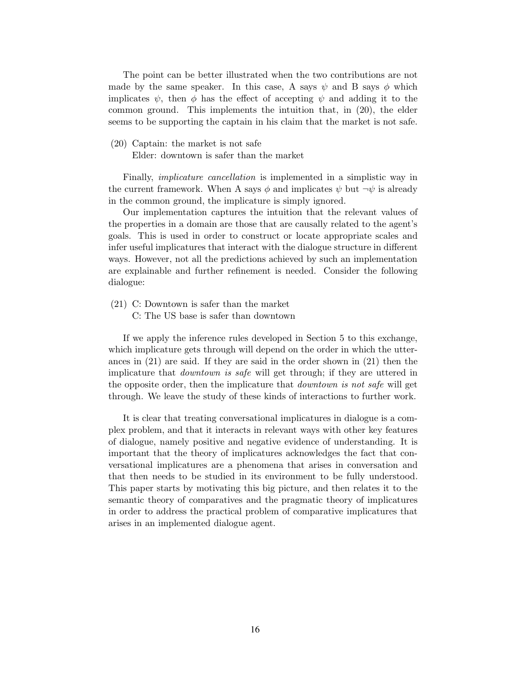The point can be better illustrated when the two contributions are not made by the same speaker. In this case, A says  $\psi$  and B says  $\phi$  which implicates  $\psi$ , then  $\phi$  has the effect of accepting  $\psi$  and adding it to the common ground. This implements the intuition that, in (20), the elder seems to be supporting the captain in his claim that the market is not safe.

#### (20) Captain: the market is not safe

Elder: downtown is safer than the market

Finally, implicature cancellation is implemented in a simplistic way in the current framework. When A says  $\phi$  and implicates  $\psi$  but  $\neg \psi$  is already in the common ground, the implicature is simply ignored.

Our implementation captures the intuition that the relevant values of the properties in a domain are those that are causally related to the agent's goals. This is used in order to construct or locate appropriate scales and infer useful implicatures that interact with the dialogue structure in different ways. However, not all the predictions achieved by such an implementation are explainable and further refinement is needed. Consider the following dialogue:

- (21) C: Downtown is safer than the market
	- C: The US base is safer than downtown

If we apply the inference rules developed in Section 5 to this exchange, which implicature gets through will depend on the order in which the utterances in (21) are said. If they are said in the order shown in (21) then the implicature that downtown is safe will get through; if they are uttered in the opposite order, then the implicature that *downtown is not safe* will get through. We leave the study of these kinds of interactions to further work.

It is clear that treating conversational implicatures in dialogue is a complex problem, and that it interacts in relevant ways with other key features of dialogue, namely positive and negative evidence of understanding. It is important that the theory of implicatures acknowledges the fact that conversational implicatures are a phenomena that arises in conversation and that then needs to be studied in its environment to be fully understood. This paper starts by motivating this big picture, and then relates it to the semantic theory of comparatives and the pragmatic theory of implicatures in order to address the practical problem of comparative implicatures that arises in an implemented dialogue agent.